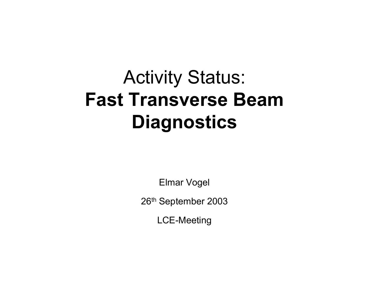# Activity Status: **Fast Transverse Beam Diagnostics**

Elmar Vogel

26th September 2003

LCE-Meeting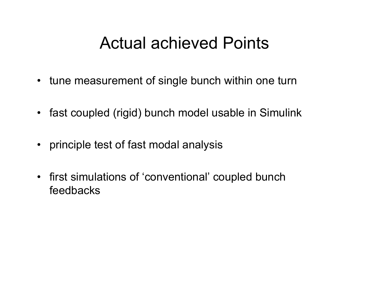## Actual achieved Points

- $\bullet$ tune measurement of single bunch within one turn
- fast coupled (rigid) bunch model usable in Simulink
- principle test of fast modal analysis
- first simulations of 'conventional' coupled bunch feedbacks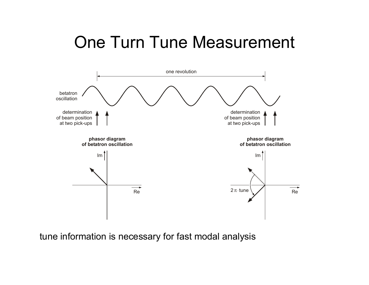# One Turn Tune Measurement



tune information is necessary for fast modal analysis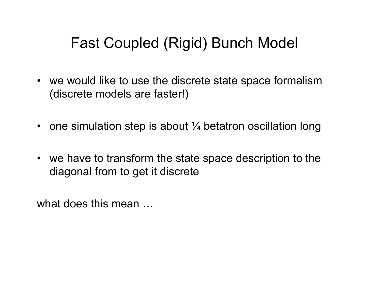#### Fast Coupled (Rigid) Bunch Model

- we would like to use the discrete state space formalism (discrete models are faster!)
- $\bullet~$  one simulation step is about  $\%$  betatron oscillation long
- we have to transform the state space description to the diagonal from to get it discrete

what does this mean ...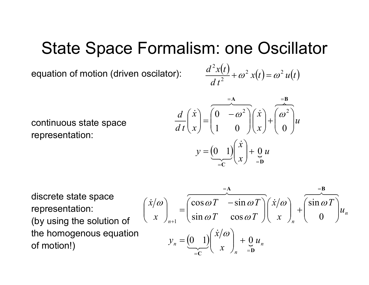## State Space Formalism: one Oscillator

equation of motion (driven oscilator):

$$
\frac{d^2x(t)}{dt^2} + \omega^2 x(t) = \omega^2 u(t)
$$

continuous state space representation:

$$
\frac{d}{dt} \begin{pmatrix} \dot{x} \\ x \end{pmatrix} = \begin{pmatrix} 0 & -\omega^2 \\ 1 & 0 \end{pmatrix} \begin{pmatrix} \dot{x} \\ x \end{pmatrix} + \begin{pmatrix} \omega^2 \\ 0 \end{pmatrix} u
$$

$$
y = \underbrace{(0 \ 1)}_{=C} \begin{pmatrix} \dot{x} \\ x \end{pmatrix} + \underbrace{0}_{=D} u
$$

discrete state space representation: (by using the solution of the homogenous equation of motion!)

$$
\begin{pmatrix} \dot{x}/\omega \\ x \end{pmatrix}_{n+1} = \begin{pmatrix} \cos \omega T & -\sin \omega T \\ \sin \omega T & \cos \omega T \end{pmatrix} \begin{pmatrix} \dot{x}/\omega \\ x \end{pmatrix}_{n} + \begin{pmatrix} \sin \omega T \\ 0 \end{pmatrix} u_{n}
$$

$$
y_{n} = \underbrace{(0, 1)}_{=C} \begin{pmatrix} \dot{x}/\omega \\ x \end{pmatrix}_{n} + \underbrace{0, u_{n}}_{=D} u_{n}
$$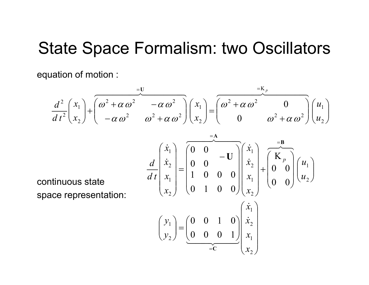#### State Space Formalism: two Oscillators

equation of motion :

$$
\frac{d^2}{dt^2}\left(\frac{x_1}{x_2}\right) + \left(\frac{\omega^2 + \alpha \omega^2}{-\alpha \omega^2} - \frac{\alpha \omega^2}{\omega^2 + \alpha \omega^2}\right)\left(\frac{x_1}{x_2}\right) = \left(\frac{\omega^2 + \alpha \omega^2}{0} - \frac{\omega^2}{\omega^2 + \alpha \omega^2}\right)\left(\frac{u_1}{u_2}\right)
$$

continuous state space representation:

$$
\frac{d}{dt} \begin{pmatrix} \dot{x}_1 \\ \dot{x}_2 \\ x_1 \\ x_2 \end{pmatrix} = \begin{pmatrix} 0 & 0 & -U \\ 0 & 0 & 0 \\ 1 & 0 & 0 & 0 \\ 0 & 1 & 0 & 0 \end{pmatrix} \begin{pmatrix} \dot{x}_1 \\ \dot{x}_2 \\ x_1 \\ x_2 \end{pmatrix} + \begin{pmatrix} K_p \\ 0 \\ 0 \\ 0 \end{pmatrix} \begin{pmatrix} u_1 \\ u_2 \end{pmatrix}
$$

$$
\begin{pmatrix} y_1 \\ y_2 \end{pmatrix} = \begin{pmatrix} 0 & 0 & 1 & 0 \\ 0 & 0 & 0 & 1 \end{pmatrix} \begin{pmatrix} \dot{x}_1 \\ \dot{x}_2 \\ x_1 \\ x_2 \end{pmatrix}
$$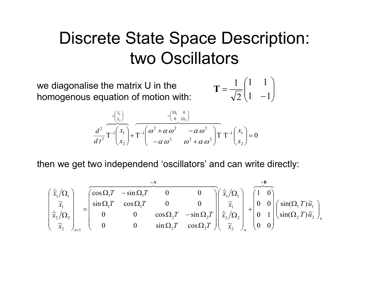# Discrete State Space Description: two Oscillators

we diagonalise the matrix U in the homogenous equation of motion with:

$$
\mathbf{T} = \frac{1}{\sqrt{2}} \begin{pmatrix} 1 & 1 \\ 1 & -1 \end{pmatrix}
$$

$$
\frac{d^2}{dt^2} \overline{T^{-1}\begin{pmatrix} x_1 \\ x_2 \end{pmatrix}} + \overline{T^{-1}\begin{pmatrix} \omega_1 & \omega_2 \\ \omega_2 & \omega_1 \end{pmatrix}} \qquad \frac{d^2}{dt^2} \overline{T^{-1}\begin{pmatrix} x_1 \\ x_2 \end{pmatrix}} + \overline{T^{-1}\begin{pmatrix} \omega_1^2 + \alpha \omega_1^2 & -\alpha \omega_1^2 \\ -\alpha \omega_1^2 & \omega_1^2 + \alpha \omega_1^2 \end{pmatrix}} \begin{pmatrix} x_1 \\ x_2 \end{pmatrix} = 0
$$

then we get two independend 'oscillators' and can write directly:

$$
\begin{pmatrix}\n\dot{\tilde{x}}_1/\Omega_1 \\
\tilde{x}_1 \\
\dot{\tilde{x}}_2/\Omega_2 \\
\tilde{x}_2\n\end{pmatrix}_{n+1} = \begin{pmatrix}\n\cos \Omega_1 T & -\sin \Omega_1 T & 0 & 0 \\
\sin \Omega_1 T & \cos \Omega_1 T & 0 & 0 \\
0 & 0 & \cos \Omega_2 T & -\sin \Omega_2 T \\
0 & 0 & \sin \Omega_2 T & \cos \Omega_2 T\n\end{pmatrix}\n\begin{pmatrix}\n\dot{\tilde{x}}_1/\Omega_1 \\
\tilde{x}_1 \\
\dot{\tilde{x}}_2/\Omega_2 \\
\tilde{x}_2\n\end{pmatrix}_n + \begin{pmatrix}\n1 & 0 \\
0 & 0 \\
0 & 1 \\
0 & 0\n\end{pmatrix}\n\begin{pmatrix}\n\sin(\Omega_1 T)\tilde{u}_1 \\
\sin(\Omega_2 T)\tilde{u}_2\n\end{pmatrix}_n
$$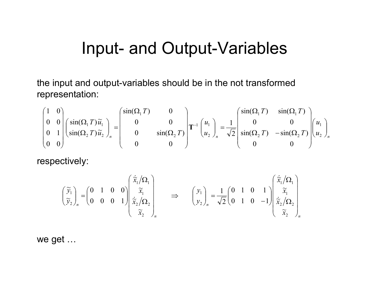# Input- and Output-Variables

the input and output-variables should be in the not transformed representation:

$$
\begin{pmatrix} 1 & 0 \ 0 & 0 \ 0 & 1 \ 0 & 0 \ 0 & 0 \end{pmatrix} \begin{pmatrix} \sin(\Omega_1 T) \widetilde{u}_1 \\ \sin(\Omega_2 T) \widetilde{u}_2 \end{pmatrix}_n = \begin{pmatrix} \sin(\Omega_1 T) & 0 \\ 0 & 0 \\ 0 & \sin(\Omega_2 T) \end{pmatrix} \mathbf{T}^{-1} \begin{pmatrix} u_1 \\ u_2 \end{pmatrix}_n = \frac{1}{\sqrt{2}} \begin{pmatrix} \sin(\Omega_1 T) & \sin(\Omega_1 T) \\ 0 & 0 \\ \sin(\Omega_2 T) & -\sin(\Omega_2 T) \end{pmatrix} \begin{pmatrix} u_1 \\ u_2 \end{pmatrix}_n
$$

respectively:

$$
\begin{pmatrix} \widetilde{y}_1 \\ \widetilde{y}_2 \end{pmatrix}_n = \begin{pmatrix} 0 & 1 & 0 & 0 \\ 0 & 0 & 0 & 1 \end{pmatrix} \begin{pmatrix} \dot{\widetilde{x}}_1 / \Omega_1 \\ \dot{\widetilde{x}}_1 / \Omega_2 \\ \dot{\widetilde{x}}_2 / \Omega_2 \\ \dot{\widetilde{x}}_2 \end{pmatrix}_n \implies \qquad \begin{pmatrix} y_1 \\ y_2 \end{pmatrix}_n = \frac{1}{\sqrt{2}} \begin{pmatrix} 0 & 1 & 0 & 1 \\ 0 & 1 & 0 & -1 \end{pmatrix} \begin{pmatrix} \dot{\widetilde{x}}_1 / \Omega_1 \\ \dot{\widetilde{x}}_1 / \Omega_2 \\ \dot{\widetilde{x}}_2 / \Omega_2 \\ \dot{\widetilde{x}}_2 \end{pmatrix}_n
$$

we get …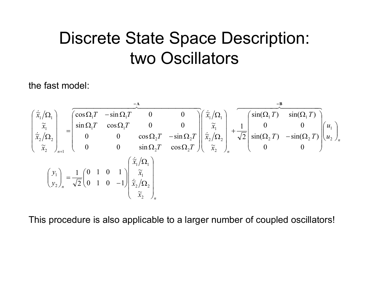# Discrete State Space Description: two Oscillators

the fast model:

$$
\begin{pmatrix}\n\dot{\tilde{x}}_1/\Omega_1 \\
\tilde{x}_1 \\
\tilde{x}_2\n\end{pmatrix}_{n+1} = \begin{bmatrix}\n\cos \Omega_1 T & -\sin \Omega_1 T & 0 & 0 \\
\sin \Omega_1 T & \cos \Omega_1 T & 0 & 0 \\
0 & 0 & \cos \Omega_2 T & -\sin \Omega_2 T \\
0 & 0 & \sin \Omega_2 T & \cos \Omega_2 T\n\end{bmatrix}\begin{pmatrix}\n\dot{\tilde{x}}_1/\Omega_1 \\
\tilde{x}_1 \\
\tilde{x}_2/\Omega_2 \\
\tilde{x}_2\n\end{pmatrix}_{n+1} + \frac{1}{\sqrt{2}} \begin{bmatrix}\n\sin(\Omega_1 T) & \sin(\Omega_1 T) \\
0 & 0 \\
\sin(\Omega_2 T) & -\sin(\Omega_2 T) \\
0 & 0\n\end{bmatrix}\begin{pmatrix}\nu_1 \\
u_2\n\end{pmatrix}_{n}
$$
\n
$$
\begin{pmatrix}\ny_1 \\
y_2\n\end{pmatrix}_{n} = \frac{1}{\sqrt{2}} \begin{bmatrix}\n0 & 1 & 0 & 1 \\
0 & 1 & 0 & -1 \\
0 & 1 & 0 & -1\n\end{bmatrix} \begin{pmatrix}\n\tilde{x}_1/\Omega_1 \\
\tilde{x}_2/\Omega_2 \\
\tilde{x}_2\n\end{pmatrix}_{n}
$$

This procedure is also applicable to a larger number of coupled oscillators!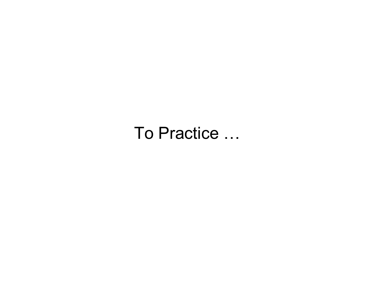To Practice …